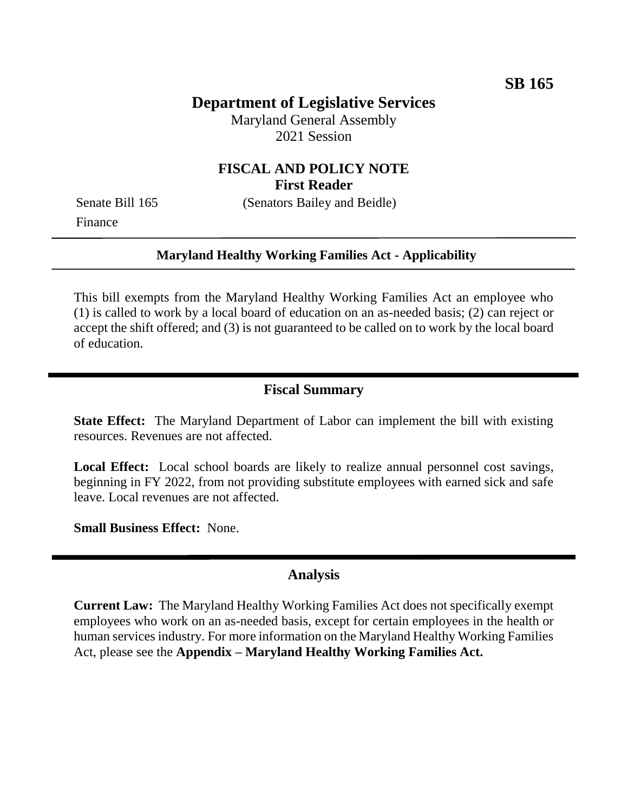# **Department of Legislative Services**

Maryland General Assembly 2021 Session

## **FISCAL AND POLICY NOTE First Reader**

Finance

Senate Bill 165 (Senators Bailey and Beidle)

#### **Maryland Healthy Working Families Act - Applicability**

This bill exempts from the Maryland Healthy Working Families Act an employee who (1) is called to work by a local board of education on an as-needed basis; (2) can reject or accept the shift offered; and (3) is not guaranteed to be called on to work by the local board of education.

## **Fiscal Summary**

**State Effect:** The Maryland Department of Labor can implement the bill with existing resources. Revenues are not affected.

**Local Effect:** Local school boards are likely to realize annual personnel cost savings, beginning in FY 2022, from not providing substitute employees with earned sick and safe leave. Local revenues are not affected.

**Small Business Effect:** None.

#### **Analysis**

**Current Law:** The Maryland Healthy Working Families Act does not specifically exempt employees who work on an as-needed basis, except for certain employees in the health or human services industry. For more information on the Maryland Healthy Working Families Act, please see the **Appendix – Maryland Healthy Working Families Act.**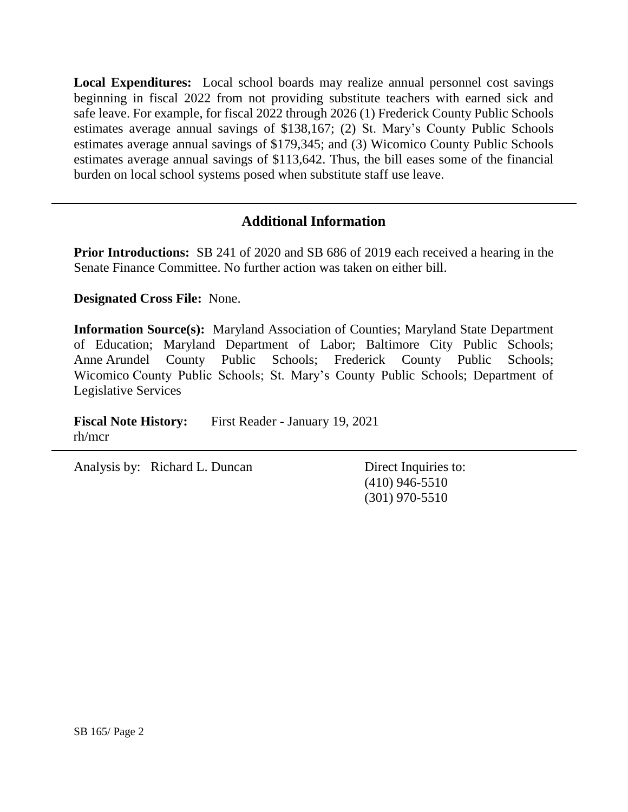**Local Expenditures:** Local school boards may realize annual personnel cost savings beginning in fiscal 2022 from not providing substitute teachers with earned sick and safe leave. For example, for fiscal 2022 through 2026 (1) Frederick County Public Schools estimates average annual savings of \$138,167; (2) St. Mary's County Public Schools estimates average annual savings of \$179,345; and (3) Wicomico County Public Schools estimates average annual savings of \$113,642. Thus, the bill eases some of the financial burden on local school systems posed when substitute staff use leave.

# **Additional Information**

**Prior Introductions:** SB 241 of 2020 and SB 686 of 2019 each received a hearing in the Senate Finance Committee. No further action was taken on either bill.

**Designated Cross File:** None.

**Information Source(s):** Maryland Association of Counties; Maryland State Department of Education; Maryland Department of Labor; Baltimore City Public Schools; Anne Arundel County Public Schools; Frederick County Public Schools; Wicomico County Public Schools; St. Mary's County Public Schools; Department of Legislative Services

**Fiscal Note History:** First Reader - January 19, 2021 rh/mcr

Analysis by: Richard L. Duncan Direct Inquiries to:

(410) 946-5510 (301) 970-5510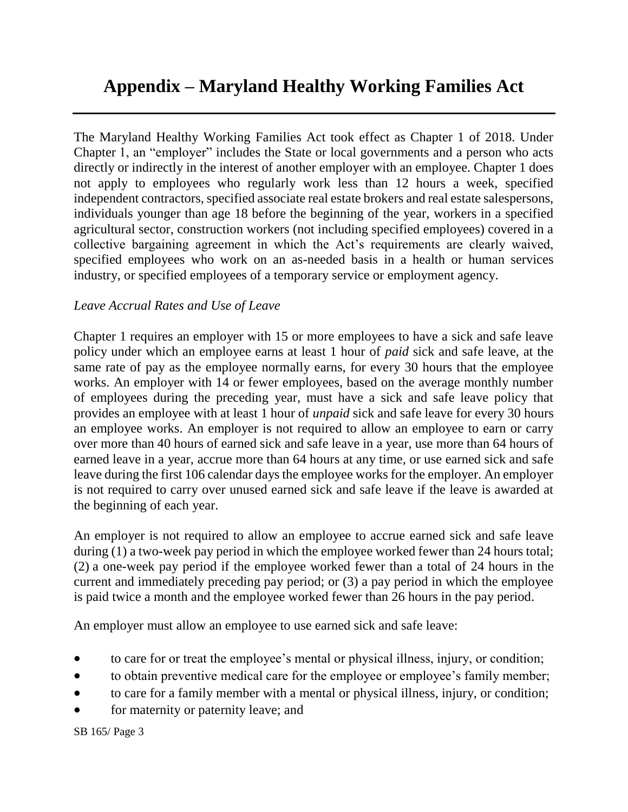# **Appendix – Maryland Healthy Working Families Act**

The Maryland Healthy Working Families Act took effect as Chapter 1 of 2018. Under Chapter 1, an "employer" includes the State or local governments and a person who acts directly or indirectly in the interest of another employer with an employee. Chapter 1 does not apply to employees who regularly work less than 12 hours a week, specified independent contractors, specified associate real estate brokers and real estate salespersons, individuals younger than age 18 before the beginning of the year, workers in a specified agricultural sector, construction workers (not including specified employees) covered in a collective bargaining agreement in which the Act's requirements are clearly waived, specified employees who work on an as-needed basis in a health or human services industry, or specified employees of a temporary service or employment agency.

### *Leave Accrual Rates and Use of Leave*

Chapter 1 requires an employer with 15 or more employees to have a sick and safe leave policy under which an employee earns at least 1 hour of *paid* sick and safe leave, at the same rate of pay as the employee normally earns, for every 30 hours that the employee works. An employer with 14 or fewer employees, based on the average monthly number of employees during the preceding year, must have a sick and safe leave policy that provides an employee with at least 1 hour of *unpaid* sick and safe leave for every 30 hours an employee works. An employer is not required to allow an employee to earn or carry over more than 40 hours of earned sick and safe leave in a year, use more than 64 hours of earned leave in a year, accrue more than 64 hours at any time, or use earned sick and safe leave during the first 106 calendar days the employee works for the employer. An employer is not required to carry over unused earned sick and safe leave if the leave is awarded at the beginning of each year.

An employer is not required to allow an employee to accrue earned sick and safe leave during (1) a two-week pay period in which the employee worked fewer than 24 hours total; (2) a one-week pay period if the employee worked fewer than a total of 24 hours in the current and immediately preceding pay period; or (3) a pay period in which the employee is paid twice a month and the employee worked fewer than 26 hours in the pay period.

An employer must allow an employee to use earned sick and safe leave:

- to care for or treat the employee's mental or physical illness, injury, or condition;
- to obtain preventive medical care for the employee or employee's family member;
- to care for a family member with a mental or physical illness, injury, or condition;
- for maternity or paternity leave; and

SB 165/ Page 3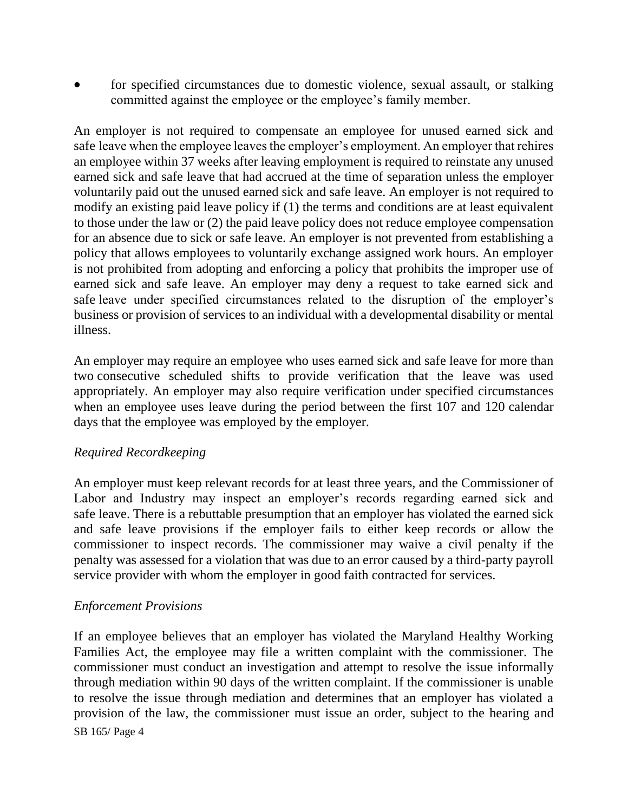for specified circumstances due to domestic violence, sexual assault, or stalking committed against the employee or the employee's family member.

An employer is not required to compensate an employee for unused earned sick and safe leave when the employee leaves the employer's employment. An employer that rehires an employee within 37 weeks after leaving employment is required to reinstate any unused earned sick and safe leave that had accrued at the time of separation unless the employer voluntarily paid out the unused earned sick and safe leave. An employer is not required to modify an existing paid leave policy if (1) the terms and conditions are at least equivalent to those under the law or (2) the paid leave policy does not reduce employee compensation for an absence due to sick or safe leave. An employer is not prevented from establishing a policy that allows employees to voluntarily exchange assigned work hours. An employer is not prohibited from adopting and enforcing a policy that prohibits the improper use of earned sick and safe leave. An employer may deny a request to take earned sick and safe leave under specified circumstances related to the disruption of the employer's business or provision of services to an individual with a developmental disability or mental illness.

An employer may require an employee who uses earned sick and safe leave for more than two consecutive scheduled shifts to provide verification that the leave was used appropriately. An employer may also require verification under specified circumstances when an employee uses leave during the period between the first 107 and 120 calendar days that the employee was employed by the employer.

## *Required Recordkeeping*

An employer must keep relevant records for at least three years, and the Commissioner of Labor and Industry may inspect an employer's records regarding earned sick and safe leave. There is a rebuttable presumption that an employer has violated the earned sick and safe leave provisions if the employer fails to either keep records or allow the commissioner to inspect records. The commissioner may waive a civil penalty if the penalty was assessed for a violation that was due to an error caused by a third-party payroll service provider with whom the employer in good faith contracted for services.

#### *Enforcement Provisions*

SB 165/ Page 4 If an employee believes that an employer has violated the Maryland Healthy Working Families Act, the employee may file a written complaint with the commissioner. The commissioner must conduct an investigation and attempt to resolve the issue informally through mediation within 90 days of the written complaint. If the commissioner is unable to resolve the issue through mediation and determines that an employer has violated a provision of the law, the commissioner must issue an order, subject to the hearing and